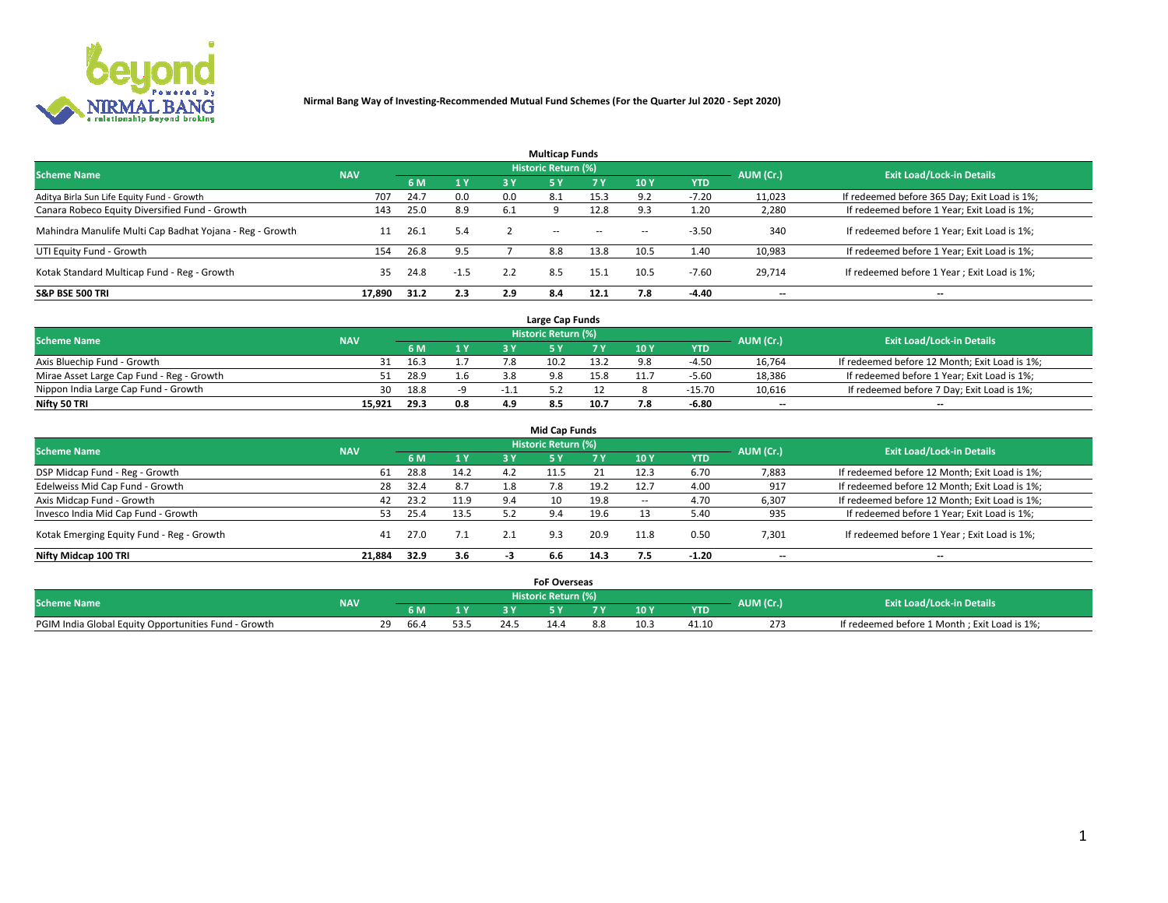

|                                                          |            |      |        |     | <b>Multicap Funds</b> |           |      |            |           |                                              |
|----------------------------------------------------------|------------|------|--------|-----|-----------------------|-----------|------|------------|-----------|----------------------------------------------|
| <b>Scheme Name</b>                                       | <b>NAV</b> |      |        |     | Historic Return (%)   |           |      |            | AUM (Cr.) | <b>Exit Load/Lock-in Details</b>             |
|                                                          |            | 6 M  | 1Y     | 3 Y | <b>5Y</b>             | <b>7Y</b> | 10Y  | <b>YTD</b> |           |                                              |
| Aditya Birla Sun Life Equity Fund - Growth               | 707        | 24.7 | 0.0    | 0.0 | 8.1                   | 15.3      | റാ   | -7.20      | 11,023    | If redeemed before 365 Day; Exit Load is 1%; |
| Canara Robeco Equity Diversified Fund - Growth           | 143        | 25.0 | 8.9    | 6.1 |                       | 12.8      |      | 1.20       | 2,280     | If redeemed before 1 Year; Exit Load is 1%;  |
| Mahindra Manulife Multi Cap Badhat Yojana - Reg - Growth | 11         | 26.1 | 5.4    |     | $\sim$                | $\sim$    | $-$  | $-3.50$    | 340       | If redeemed before 1 Year; Exit Load is 1%;  |
| UTI Equity Fund - Growth                                 | 154        | 26.8 | 9.5    |     | 8.8                   | 13.8      | 10.5 | 1.40       | 10,983    | If redeemed before 1 Year; Exit Load is 1%;  |
| Kotak Standard Multicap Fund - Reg - Growth              | 35         | 24.8 | $-1.5$ | 2.2 | 8.5                   | 15.1      | 10.5 | $-7.60$    | 29.714    | If redeemed before 1 Year; Exit Load is 1%;  |
| <b>S&amp;P BSE 500 TRI</b>                               | 17.890     | 31.2 | 2.3    | 2.9 | 8.4                   | 12.1      |      | $-4.40$    | --        | $- -$                                        |

|                                           |            |      |              |     | Large Cap Funds     |      |      |            |                          |                                               |
|-------------------------------------------|------------|------|--------------|-----|---------------------|------|------|------------|--------------------------|-----------------------------------------------|
| <b>Scheme Name</b>                        | <b>NAV</b> |      |              |     | Historic Return (%) |      |      |            | AUM (Cr.)                | <b>Exit Load/Lock-in Details</b>              |
|                                           |            | 6 M  | $\sqrt{1}$ Y |     |                     |      | 10 Y | <b>YTD</b> |                          |                                               |
| Axis Bluechip Fund - Growth               |            | 16.3 |              |     | 10.2                | 13.2 |      | $-4.50$    | 16,764                   | If redeemed before 12 Month; Exit Load is 1%; |
| Mirae Asset Large Cap Fund - Reg - Growth |            | 28.9 | 1.6          |     |                     | 15.8 |      | $-5.60$    | 18,386                   | If redeemed before 1 Year; Exit Load is 1%;   |
| Nippon India Large Cap Fund - Growth      | 30         | 18.8 |              |     |                     |      |      | $-15.70$   | 10,616                   | If redeemed before 7 Day; Exit Load is 1%;    |
| Nifty 50 TRI                              | 15.921     | 29.3 | 0.8          | 4.9 | 8.5                 | 10.7 |      | -6.80      | $\overline{\phantom{a}}$ | $- -$                                         |

| <b>Mid Cap Funds</b>                      |            |      |      |     |                            |      |            |            |                          |                                               |  |  |  |
|-------------------------------------------|------------|------|------|-----|----------------------------|------|------------|------------|--------------------------|-----------------------------------------------|--|--|--|
| <b>Scheme Name</b>                        | <b>NAV</b> |      |      |     | <b>Historic Return (%)</b> |      |            |            | AUM (Cr.)                | <b>Exit Load/Lock-in Details</b>              |  |  |  |
|                                           |            | 6 M  | 1 Y  | 3 Y |                            | 7 V  | <b>10Y</b> | <b>YTD</b> |                          |                                               |  |  |  |
| DSP Midcap Fund - Reg - Growth            | 61         | 28.8 | 14.2 | 4.2 |                            |      | 12.3       | 6.70       | 7,883                    | If redeemed before 12 Month; Exit Load is 1%; |  |  |  |
| Edelweiss Mid Cap Fund - Growth           | 28         | 32.4 | 8.7  | 1.8 | 7.8                        | 19.2 | 12.7       | 4.00       | 917                      | If redeemed before 12 Month; Exit Load is 1%; |  |  |  |
| Axis Midcap Fund - Growth                 | 42         | 23.2 | 11.9 | 9.4 | 10                         | 19.8 |            | 4.70       | 6,307                    | If redeemed before 12 Month; Exit Load is 1%; |  |  |  |
| Invesco India Mid Cap Fund - Growth       |            | 25.4 | 13.5 | 5.2 | 9.4                        | 19.6 |            | 5.40       | 935                      | If redeemed before 1 Year; Exit Load is 1%;   |  |  |  |
| Kotak Emerging Equity Fund - Reg - Growth | 41         | 27.0 | 7.1  | 2.1 | 9.3                        | 20.9 | 11.8       | 0.50       | 7,301                    | If redeemed before 1 Year; Exit Load is 1%;   |  |  |  |
| Nifty Midcap 100 TRI                      | 21.884     | 32.9 | 3.6  | - 5 | 6.6                        | 14.3 | 7.5        | $-1.20$    | $\overline{\phantom{a}}$ | $- -$                                         |  |  |  |

|                                                      |            |                   |      | <b>FoF Overseas</b>        |     |            |           |                                              |
|------------------------------------------------------|------------|-------------------|------|----------------------------|-----|------------|-----------|----------------------------------------------|
| <b>Scheme Name</b>                                   | <b>NAV</b> |                   |      | <b>Historic Return (%)</b> |     |            | AUM (Cr.) | <b>Exit Load/Lock-in Details</b>             |
|                                                      |            | 6 M               |      |                            | 10Y | <b>YTD</b> |           |                                              |
| PGIM India Global Equity Opportunities Fund - Growth |            | <b>20</b><br>66.4 | 24.5 |                            |     | 41.10      | 273       | If redeemed before 1 Month; Exit Load is 1%; |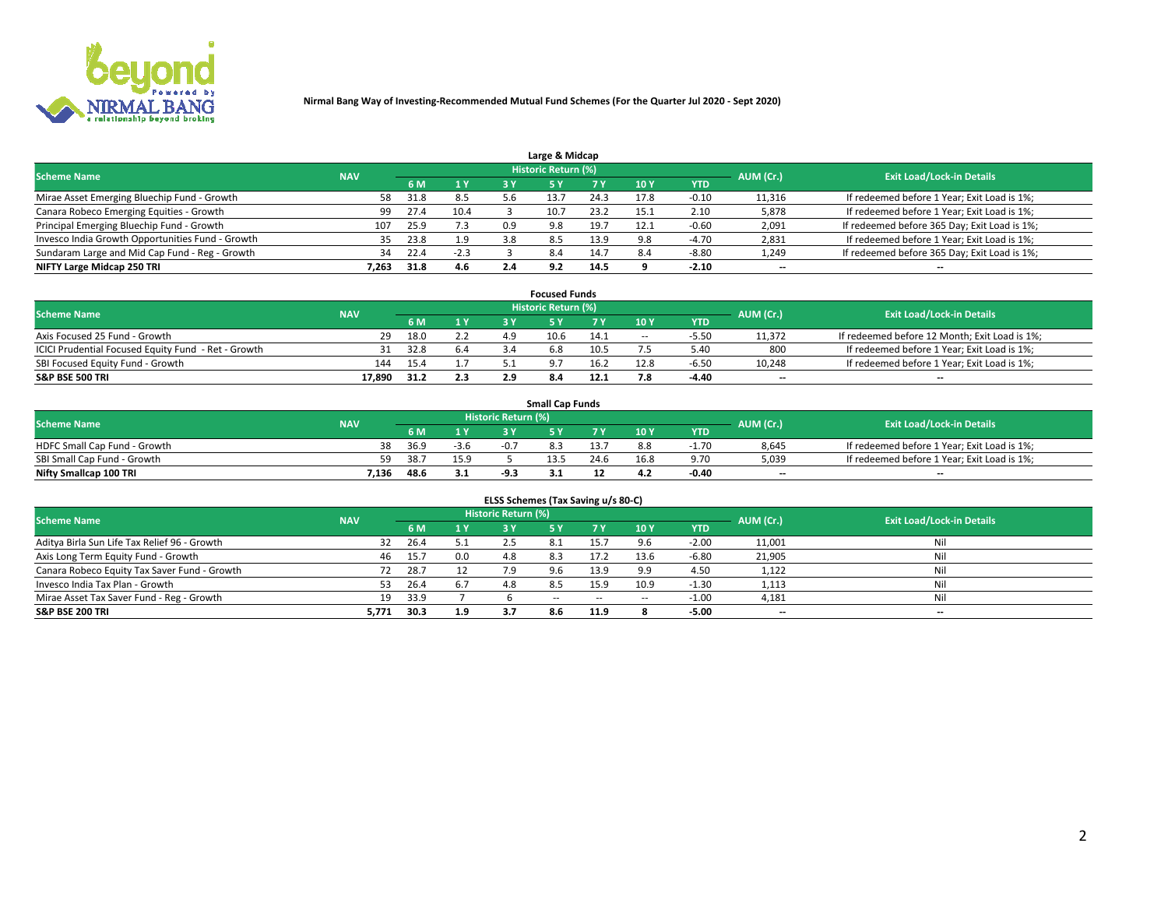

| Large & Midcap                                   |            |      |        |     |                     |                          |      |         |                          |                                              |  |  |  |  |
|--------------------------------------------------|------------|------|--------|-----|---------------------|--------------------------|------|---------|--------------------------|----------------------------------------------|--|--|--|--|
| <b>Scheme Name</b>                               | <b>NAV</b> |      |        |     | Historic Return (%) |                          |      |         | AUM (Cr.)                | <b>Exit Load/Lock-in Details</b>             |  |  |  |  |
|                                                  |            | 6 M  | 1 Y    | 3 Y |                     | 10Y<br>7 V<br><b>YTD</b> |      |         |                          |                                              |  |  |  |  |
| Mirae Asset Emerging Bluechip Fund - Growth      | 58         | 31.8 | 8.5    | 5.6 |                     | 24.3                     | 17.8 | $-0.10$ | 11,316                   | If redeemed before 1 Year; Exit Load is 1%;  |  |  |  |  |
| Canara Robeco Emerging Equities - Growth         | 99         | 27.4 | 10.4   |     | 10.7                | 23.2                     | 15.1 | 2.10    | 5,878                    | If redeemed before 1 Year; Exit Load is 1%;  |  |  |  |  |
| Principal Emerging Bluechip Fund - Growth        | 107        | 25.9 | 7.3    | 0.9 | 9.8                 | 19.7                     | 12.1 | $-0.60$ | 2,091                    | If redeemed before 365 Day; Exit Load is 1%; |  |  |  |  |
| Invesco India Growth Opportunities Fund - Growth | 35         | 23.8 | 1.9    | 3.8 | 8.5                 | 13.9                     | 9.8  | $-4.70$ | 2,831                    | If redeemed before 1 Year; Exit Load is 1%;  |  |  |  |  |
| Sundaram Large and Mid Cap Fund - Reg - Growth   | 34         | 22.4 | $-2.3$ |     | 8.4                 | 14.7                     | 8.4  | $-8.80$ | 1,249                    | If redeemed before 365 Day; Exit Load is 1%; |  |  |  |  |
| NIFTY Large Midcap 250 TRI                       | .263       | 31.8 | 4.6    | 2.4 | 9.2                 | 14.5                     |      | $-2.10$ | $\overline{\phantom{a}}$ | $- -$                                        |  |  |  |  |

|                                                     |            |      |     |     | <b>Focused Funds</b>       |      |        |            |                          |                                               |
|-----------------------------------------------------|------------|------|-----|-----|----------------------------|------|--------|------------|--------------------------|-----------------------------------------------|
| <b>Scheme Name</b>                                  | <b>NAV</b> |      |     |     | <b>Historic Return (%)</b> |      |        |            | AUM (Cr.)                | <b>Exit Load/Lock-in Details</b>              |
|                                                     |            | 6 M  | 1 Y |     |                            |      | 10 Y   | <b>YTD</b> |                          |                                               |
| Axis Focused 25 Fund - Growth                       | 29         | 18.0 | 2.2 | 4.9 | 10.6                       | 14.1 | $\sim$ | $-5.5C$    | 11.372                   | If redeemed before 12 Month; Exit Load is 1%; |
| ICICI Prudential Focused Equity Fund - Ret - Growth | 31         | 32.8 | 6.4 |     | 6.8                        | 10.5 |        | 5.40       | 800                      | If redeemed before 1 Year; Exit Load is 1%;   |
| SBI Focused Equity Fund - Growth                    | 144        | 15.4 |     |     |                            | 16.2 | 12.8   | $-6.5c$    | 10,248                   | If redeemed before 1 Year; Exit Load is 1%;   |
| <b>S&amp;P BSE 500 TRI</b>                          | 17.890     | 31.2 | 2.3 |     |                            | 12 1 |        | $-4.40$    | $\overline{\phantom{a}}$ | $- -$                                         |

| <b>Small Cap Funds</b>       |            |      |        |                     |      |      |                 |            |           |                                             |  |  |  |
|------------------------------|------------|------|--------|---------------------|------|------|-----------------|------------|-----------|---------------------------------------------|--|--|--|
| <b>Scheme Name</b>           | <b>NAV</b> |      |        | Historic Return (%) |      |      |                 |            | AUM (Cr.) | <b>Exit Load/Lock-in Details</b>            |  |  |  |
|                              |            | 6 M  | 1 Y    |                     |      |      | 10 <sub>Y</sub> | <b>YTD</b> |           |                                             |  |  |  |
| HDFC Small Cap Fund - Growth | 38         | 36.9 | $-3.6$ | $-0.7$              |      |      | 8.8             | 1.70       | 8,645     | If redeemed before 1 Year; Exit Load is 1%; |  |  |  |
| SBI Small Cap Fund - Growth  |            | 38.7 | 15.9   |                     | 13.5 | 24.6 | 16.8            | 9.70       | 5,039     | If redeemed before 1 Year; Exit Load is 1%; |  |  |  |
| Nifty Smallcap 100 TRI       | 7.136      | 48.6 | 3.1    |                     | ---  |      | 4.2             | -0.40      | $- -$     | $- -$                                       |  |  |  |

| ELSS Schemes (Tax Saving u/s 80-C)           |            |       |     |                            |           |        |                          |            |                          |                                  |  |  |  |
|----------------------------------------------|------------|-------|-----|----------------------------|-----------|--------|--------------------------|------------|--------------------------|----------------------------------|--|--|--|
| <b>Scheme Name</b>                           | <b>NAV</b> |       |     | <b>Historic Return (%)</b> |           |        |                          |            | AUM (Cr.)                | <b>Exit Load/Lock-in Details</b> |  |  |  |
|                                              |            | - 6 M | 1Y  | 3 Y                        | <b>5Y</b> | 7 Y    | 10 Y                     | <b>YTD</b> |                          |                                  |  |  |  |
| Aditya Birla Sun Life Tax Relief 96 - Growth | 32         | 26.4  | 5.1 |                            |           |        |                          | $-2.00$    | 11,001                   | Nil                              |  |  |  |
| Axis Long Term Equity Fund - Growth          | 46         | 15.7  | 0.0 | 4.8                        | 8.3       | 17.2   | 13.6                     | $-6.80$    | 21,905                   | Nil                              |  |  |  |
| Canara Robeco Equity Tax Saver Fund - Growth | 72         | 28.7  |     | 7.9                        | 9.6       | 13.9   | 9.9                      | 4.50       | 1,122                    | Nil                              |  |  |  |
| Invesco India Tax Plan - Growth              | 53         | 26.4  | 6.7 | 4.8                        | 8.5       | 15.9   | 10.9                     | $-1.30$    | 1,113                    | Nil                              |  |  |  |
| Mirae Asset Tax Saver Fund - Reg - Growth    | 19         | 33.9  |     |                            | $- -$     | $\sim$ | $\overline{\phantom{a}}$ | $-1.00$    | 4,181                    | Nil                              |  |  |  |
| S&P BSE 200 TRI                              | 5,771      | 30.3  | 1.9 |                            | 8.6       | 11.9   |                          | $-5.00$    | $\overline{\phantom{a}}$ | $- -$                            |  |  |  |

# 2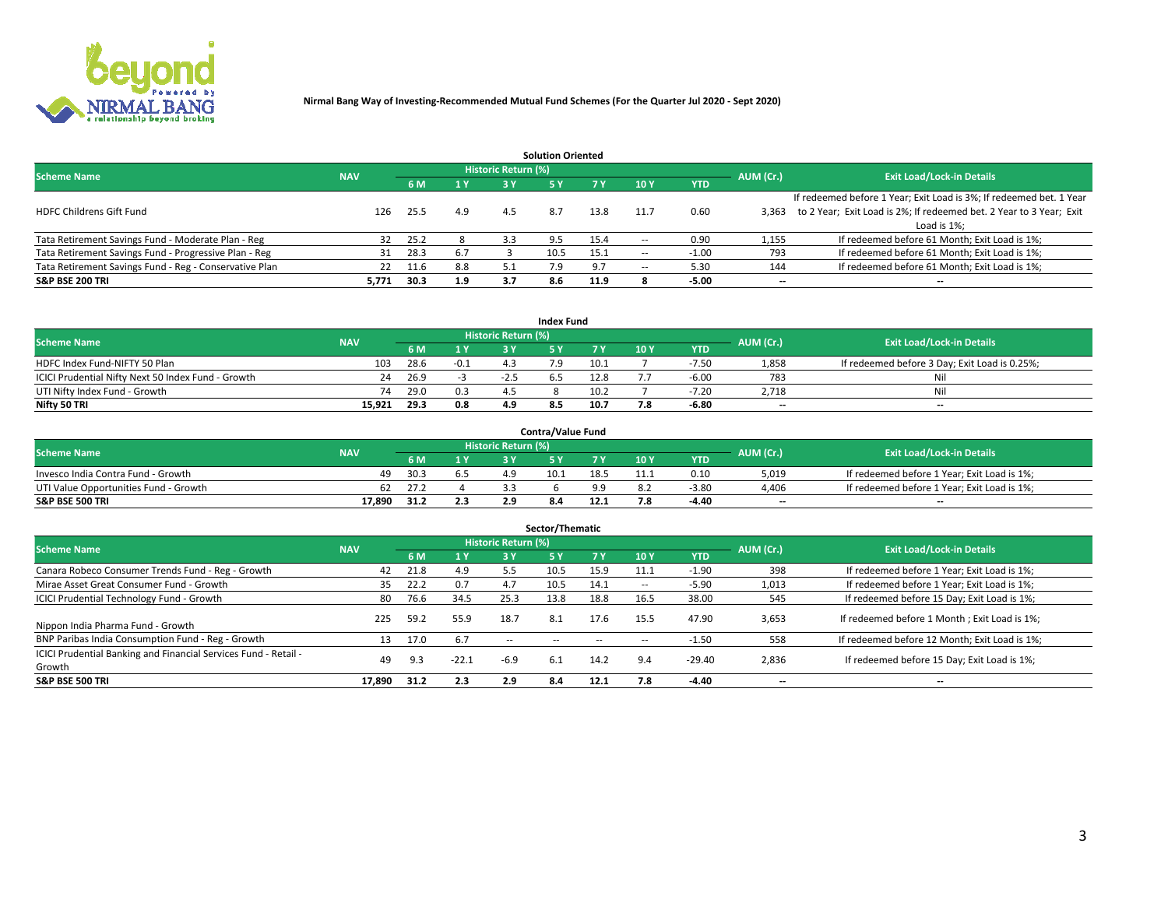

|                                                        |            |            |     |                            | <b>Solution Oriented</b> |      |                          |            |                          |                                                                     |
|--------------------------------------------------------|------------|------------|-----|----------------------------|--------------------------|------|--------------------------|------------|--------------------------|---------------------------------------------------------------------|
| <b>Scheme Name</b>                                     | <b>NAV</b> |            |     | <b>Historic Return (%)</b> |                          |      |                          |            | AUM (Cr.)                | <b>Exit Load/Lock-in Details</b>                                    |
|                                                        |            | <b>6 M</b> | 1 Y | 3 Y                        |                          |      | 10Y                      | <b>YTD</b> |                          |                                                                     |
|                                                        |            |            |     |                            |                          |      |                          |            |                          | If redeemed before 1 Year; Exit Load is 3%; If redeemed bet. 1 Year |
| <b>HDFC Childrens Gift Fund</b>                        | 126        | 25.5       | 4.9 | 4.5                        | 8.7                      | 13.8 | 11.7                     | 0.60       | 3.363                    | to 2 Year; Exit Load is 2%; If redeemed bet. 2 Year to 3 Year; Exit |
|                                                        |            |            |     |                            |                          |      |                          |            |                          | Load is 1%;                                                         |
| Tata Retirement Savings Fund - Moderate Plan - Reg     | 32         | 25.2       |     | 3.3                        | 9.5                      | 15.4 | --                       | 0.90       | 1,155                    | If redeemed before 61 Month; Exit Load is 1%;                       |
| Tata Retirement Savings Fund - Progressive Plan - Reg  | 31         | 28.3       | 6.7 |                            | 10.5                     | 15.1 | $\overline{\phantom{a}}$ | $-1.00$    | 793                      | If redeemed before 61 Month; Exit Load is 1%;                       |
| Tata Retirement Savings Fund - Reg - Conservative Plan | 22         | 11.6       | 8.8 |                            |                          |      | --                       | 5.30       | 144                      | If redeemed before 61 Month; Exit Load is 1%;                       |
| S&P BSE 200 TRI                                        | 5,771      | 30.3       | 1.9 | 3.7                        | 8.6                      | 11.9 |                          | $-5.00$    | $\overline{\phantom{a}}$ | $- -$                                                               |

|                                                    |            |      |        |                            | <b>Index Fund</b> |      |      |            |                          |                                               |
|----------------------------------------------------|------------|------|--------|----------------------------|-------------------|------|------|------------|--------------------------|-----------------------------------------------|
| <b>Scheme Name</b>                                 | <b>NAV</b> |      |        | <b>Historic Return (%)</b> |                   |      |      |            | AUM (Cr.)                | <b>Exit Load/Lock-in Details</b>              |
|                                                    |            | 6 M  | 1Y     | 2 V                        |                   |      | 10 Y | <b>YTD</b> |                          |                                               |
| HDFC Index Fund-NIFTY 50 Plan                      | 103        | 28.6 | $-0.1$ |                            | 7.9               | 10.1 |      | $-7.50$    | 1,858                    | If redeemed before 3 Day; Exit Load is 0.25%; |
| ICICI Prudential Nifty Next 50 Index Fund - Growth | 24         | 26.9 |        |                            |                   | 12.8 |      | $-6.00$    | 783                      | Nil                                           |
| UTI Nifty Index Fund - Growth                      | 74         | 29.0 | 0.3    |                            |                   | 10.2 |      | $-7.20$    | 2.718                    | Nil                                           |
| Nifty 50 TRI                                       | 15.921     | 29.3 | 0.8    | 4.9                        | 8.5               | 10.7 |      | -6.80      | $\overline{\phantom{a}}$ | $- -$                                         |

| <b>Contra/Value Fund</b>              |            |      |                                           |                            |      |      |     |            |                          |                                             |  |  |
|---------------------------------------|------------|------|-------------------------------------------|----------------------------|------|------|-----|------------|--------------------------|---------------------------------------------|--|--|
| <b>Scheme Name</b>                    | <b>NAV</b> |      |                                           | <b>Historic Return (%)</b> |      |      |     |            | AUM (Cr.)                | <b>Exit Load/Lock-in Details</b>            |  |  |
|                                       |            |      | $\blacktriangleleft$ $\blacktriangledown$ |                            |      | 7 V  | 10Y | <b>YTD</b> |                          |                                             |  |  |
| Invesco India Contra Fund - Growth    | 49         | 30.3 |                                           | л с                        | 10.1 | 18.5 |     | 0.10       | 5,019                    | If redeemed before 1 Year; Exit Load is 1%; |  |  |
| UTI Value Opportunities Fund - Growth | 62         | 27.2 |                                           |                            |      |      |     | $-3.80$    | 4,406                    | If redeemed before 1 Year; Exit Load is 1%; |  |  |
| <b>S&amp;P BSE 500 TRI</b>            | 17.890     | 31.2 | 2.3                                       |                            |      |      |     | $-4.40$    | $\overline{\phantom{a}}$ | $- -$                                       |  |  |

| Sector/Thematic                                                           |            |      |                  |                     |            |        |                          |            |           |                                               |  |  |  |  |
|---------------------------------------------------------------------------|------------|------|------------------|---------------------|------------|--------|--------------------------|------------|-----------|-----------------------------------------------|--|--|--|--|
| <b>Scheme Name</b>                                                        | <b>NAV</b> |      |                  | Historic Return (%) |            |        |                          |            | AUM (Cr.) | <b>Exit Load/Lock-in Details</b>              |  |  |  |  |
|                                                                           |            | 6 M  | $\overline{1}$ Y | 3 Y                 | <b>5Y</b>  | 7 Y    | 10Y                      | <b>YTD</b> |           |                                               |  |  |  |  |
| Canara Robeco Consumer Trends Fund - Reg - Growth                         | 42         | 21.8 | 4.9              | 5.5                 | 10.5       | 15.9   | 11.1                     | $-1.90$    | 398       | If redeemed before 1 Year; Exit Load is 1%;   |  |  |  |  |
| Mirae Asset Great Consumer Fund - Growth                                  | 35         | 22.2 | 0.7              | 4.7                 | 10.5       | 14.1   | $\overline{\phantom{a}}$ | $-5.90$    | 1,013     | If redeemed before 1 Year; Exit Load is 1%;   |  |  |  |  |
| <b>ICICI Prudential Technology Fund - Growth</b>                          | -80        | 76.6 | 34.5             | 25.3                | 13.8       | 18.8   | 16.5                     | 38.00      | 545       | If redeemed before 15 Day; Exit Load is 1%;   |  |  |  |  |
| Nippon India Pharma Fund - Growth                                         | 225        | 59.2 | 55.9             | 18.7                | 8.1        | 17.6   | 15.5                     | 47.90      | 3,653     | If redeemed before 1 Month; Exit Load is 1%;  |  |  |  |  |
| BNP Paribas India Consumption Fund - Reg - Growth                         | 13         | 17.0 | 6.7              | $\sim$ $\sim$       | $\sim$ $-$ | $\sim$ | $\sim$                   | $-1.50$    | 558       | If redeemed before 12 Month; Exit Load is 1%; |  |  |  |  |
| ICICI Prudential Banking and Financial Services Fund - Retail -<br>Growth | 49         | 9.3  | $-22.1$          | $-6.9$              | 6.1        | 14.2   | 9.4                      | $-29.40$   | 2,836     | If redeemed before 15 Day; Exit Load is 1%;   |  |  |  |  |
| <b>S&amp;P BSE 500 TRI</b>                                                | 17.890     | 31.2 | 2.3              | 2.9                 | 8.4        | 12.1   | 7.8                      | $-4.40$    | --        | $- -$                                         |  |  |  |  |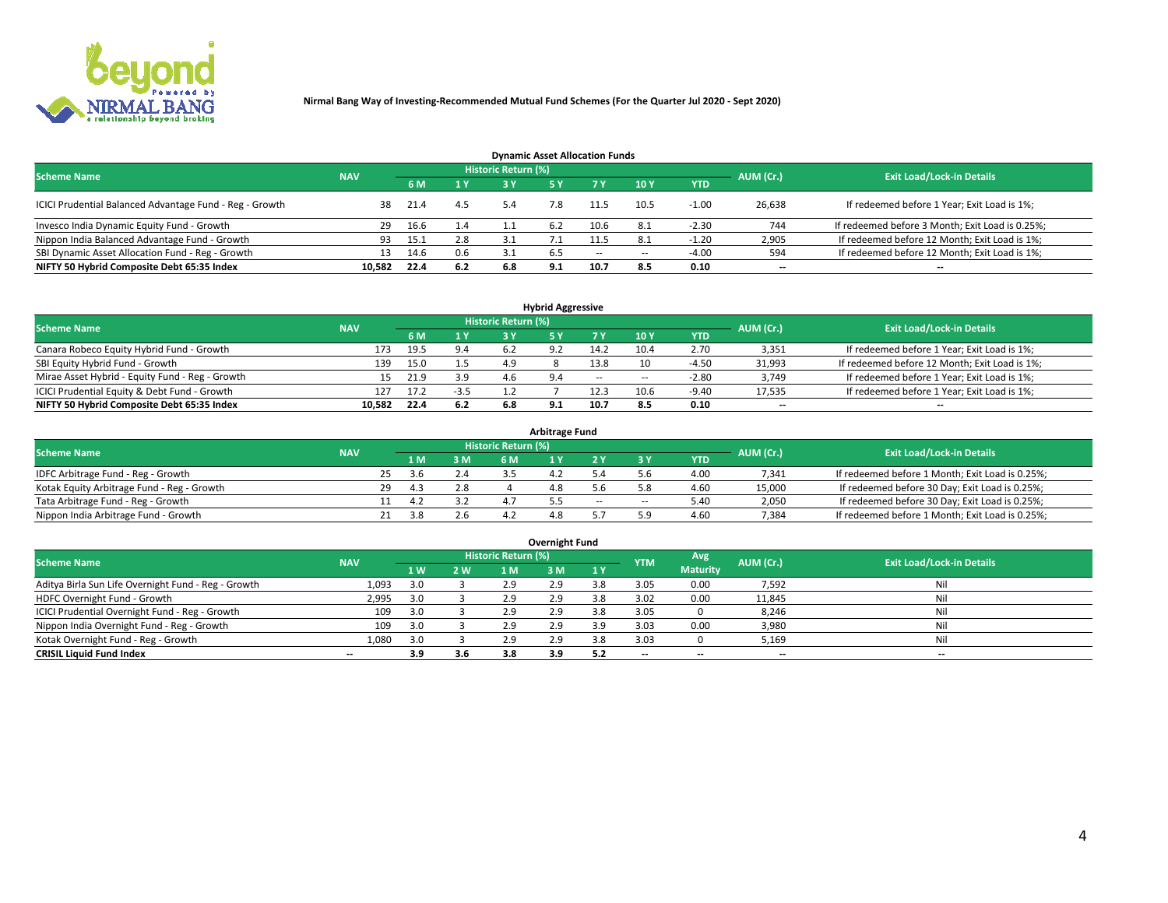

| <b>Dynamic Asset Allocation Funds</b>                   |            |      |     |                            |     |        |                          |            |           |                                                 |  |  |  |  |
|---------------------------------------------------------|------------|------|-----|----------------------------|-----|--------|--------------------------|------------|-----------|-------------------------------------------------|--|--|--|--|
| <b>Scheme Name</b>                                      | <b>NAV</b> |      |     | <b>Historic Return (%)</b> |     |        |                          |            | AUM (Cr.) | <b>Exit Load/Lock-in Details</b>                |  |  |  |  |
|                                                         |            | 6 M  | 1 Y |                            |     |        | $-10Y$                   | <b>YTD</b> |           |                                                 |  |  |  |  |
| ICICI Prudential Balanced Advantage Fund - Reg - Growth | 38         | 21.4 | 4.5 | 5.4                        | 7.8 | 11.5   | 10.5                     | $-1.00$    | 26,638    | If redeemed before 1 Year; Exit Load is 1%;     |  |  |  |  |
| Invesco India Dynamic Equity Fund - Growth              | 29         | 16.6 | 1.4 |                            | 6.2 | 10.6   | 8.1                      | $-2.30$    | 744       | If redeemed before 3 Month; Exit Load is 0.25%; |  |  |  |  |
| Nippon India Balanced Advantage Fund - Growth           | 93         | 15.1 | 2.8 |                            |     |        |                          | $-1.20$    | 2,905     | If redeemed before 12 Month; Exit Load is 1%;   |  |  |  |  |
| SBI Dynamic Asset Allocation Fund - Reg - Growth        | 13.        | 14.6 | 0.6 | 3.1                        | 6.5 | $\sim$ | $\overline{\phantom{a}}$ | -4.00      | 594       | If redeemed before 12 Month; Exit Load is 1%;   |  |  |  |  |
| NIFTY 50 Hybrid Composite Debt 65:35 Index              | 10.582     | 22.4 | 6.2 | 6.8                        | 9.1 | 10.7   | 8.5                      | 0.10       | $- -$     | $- -$                                           |  |  |  |  |

| <b>Hybrid Aggressive</b>                        |                                                                                                          |      |        |     |             |        |                          |            |                          |                                               |  |  |  |  |  |
|-------------------------------------------------|----------------------------------------------------------------------------------------------------------|------|--------|-----|-------------|--------|--------------------------|------------|--------------------------|-----------------------------------------------|--|--|--|--|--|
|                                                 | Historic Return (%)<br><b>Exit Load/Lock-in Details</b><br><b>Scheme Name</b><br>AUM (Cr.)<br><b>NAV</b> |      |        |     |             |        |                          |            |                          |                                               |  |  |  |  |  |
|                                                 |                                                                                                          | 6 M  | 1 Y    | a v |             |        | 10Y                      | <b>YTD</b> |                          |                                               |  |  |  |  |  |
| Canara Robeco Equity Hybrid Fund - Growth       | 173                                                                                                      | 19.5 | 9.4    |     |             | 14.2   | 10.4                     | 2.70       | 3,351                    | If redeemed before 1 Year; Exit Load is 1%;   |  |  |  |  |  |
| SBI Equity Hybrid Fund - Growth                 | 139                                                                                                      | 15.0 | 1.5    | 4.9 |             | 13.8   | 10                       | $-4.50$    | 31,993                   | If redeemed before 12 Month; Exit Load is 1%; |  |  |  |  |  |
| Mirae Asset Hybrid - Equity Fund - Reg - Growth | 15                                                                                                       | 21.9 | 3.9    |     | $Q \Lambda$ | $\sim$ | $\overline{\phantom{a}}$ | $-2.80$    | 3,749                    | If redeemed before 1 Year; Exit Load is 1%;   |  |  |  |  |  |
| ICICI Prudential Equity & Debt Fund - Growth    | 127                                                                                                      | 17.2 | $-3.5$ |     |             | 12.3   | 10.6                     | $-9.40$    | 17,535                   | If redeemed before 1 Year; Exit Load is 1%;   |  |  |  |  |  |
| NIFTY 50 Hybrid Composite Debt 65:35 Index      | 10.582                                                                                                   | 22.4 | 6.2    | 6.8 | <b>Q</b> 1  | 10.7   | 8.5                      | 0.10       | $\overline{\phantom{a}}$ | $- -$                                         |  |  |  |  |  |

| <b>Arbitrage Fund</b>                      |            |                                  |     |            |           |     |        |        |            |        |                                                 |  |  |  |
|--------------------------------------------|------------|----------------------------------|-----|------------|-----------|-----|--------|--------|------------|--------|-------------------------------------------------|--|--|--|
| <b>Scheme Name</b>                         | AUM (Cr.)  | <b>Exit Load/Lock-in Details</b> |     |            |           |     |        |        |            |        |                                                 |  |  |  |
|                                            | <b>NAV</b> |                                  | LΜ  | 3 M        | <b>6M</b> |     |        |        | <b>YTD</b> |        |                                                 |  |  |  |
| IDFC Arbitrage Fund - Reg - Growth         |            | 25                               | 3.6 | י ה<br>2.4 |           | 4.4 |        |        | 4.00       | 7,341  | If redeemed before 1 Month; Exit Load is 0.25%; |  |  |  |
| Kotak Equity Arbitrage Fund - Reg - Growth |            | 29                               | 43  | 2.8        |           | 4.8 |        |        | 4.60       | 15,000 | If redeemed before 30 Day; Exit Load is 0.25%;  |  |  |  |
| Tata Arbitrage Fund - Reg - Growth         |            |                                  |     |            |           |     | $\sim$ | $\sim$ | 5.40       | 2,050  | If redeemed before 30 Day; Exit Load is 0.25%;  |  |  |  |
| Nippon India Arbitrage Fund - Growth       |            |                                  | 3 R |            |           |     |        | ິດ     | 4.60       | 7,384  | If redeemed before 1 Month; Exit Load is 0.25%; |  |  |  |

| Overnight Fund                                      |            |                |     |                     |     |     |            |                 |                          |                                  |  |  |  |  |
|-----------------------------------------------------|------------|----------------|-----|---------------------|-----|-----|------------|-----------------|--------------------------|----------------------------------|--|--|--|--|
| <b>Scheme Name</b>                                  | <b>NAV</b> |                |     | Historic Return (%) |     |     | <b>YTM</b> | Avg             | AUM (Cr.)                | <b>Exit Load/Lock-in Details</b> |  |  |  |  |
|                                                     |            | 1 <sub>W</sub> | 2 W | 1 M                 | : M | 1 Y |            | <b>Maturity</b> |                          |                                  |  |  |  |  |
| Aditya Birla Sun Life Overnight Fund - Reg - Growth | 1,093      | 3.0            |     | 2.9                 | 2.9 |     | 3.05       | 0.00            | 7,592                    | Nil                              |  |  |  |  |
| HDFC Overnight Fund - Growth                        | 2,995      | 3.0            |     | 2.9                 | 2.9 |     | 3.02       | 0.00            | 11,845                   | Nil                              |  |  |  |  |
| ICICI Prudential Overnight Fund - Reg - Growth      | 109        | 3.0            |     | 2.9                 | 2.5 |     | 3.05       |                 | 8,246                    | Nil                              |  |  |  |  |
| Nippon India Overnight Fund - Reg - Growth          | 109        | 3.0            |     | 2.9                 | 2.9 | 3.9 | 3.03       | 0.00            | 3,980                    | Nil                              |  |  |  |  |
| Kotak Overnight Fund - Reg - Growth                 | 1,080      | 3.0            |     | 2.9                 | 2.9 | 3.8 | 3.03       |                 | 5,169                    | Nil                              |  |  |  |  |
| <b>CRISIL Liquid Fund Index</b>                     | $- -$      | 3.9            | 3.6 | 3.8                 | 3.9 |     | --         | $- -$           | $\overline{\phantom{a}}$ | $- -$                            |  |  |  |  |

### **Overnight Fund**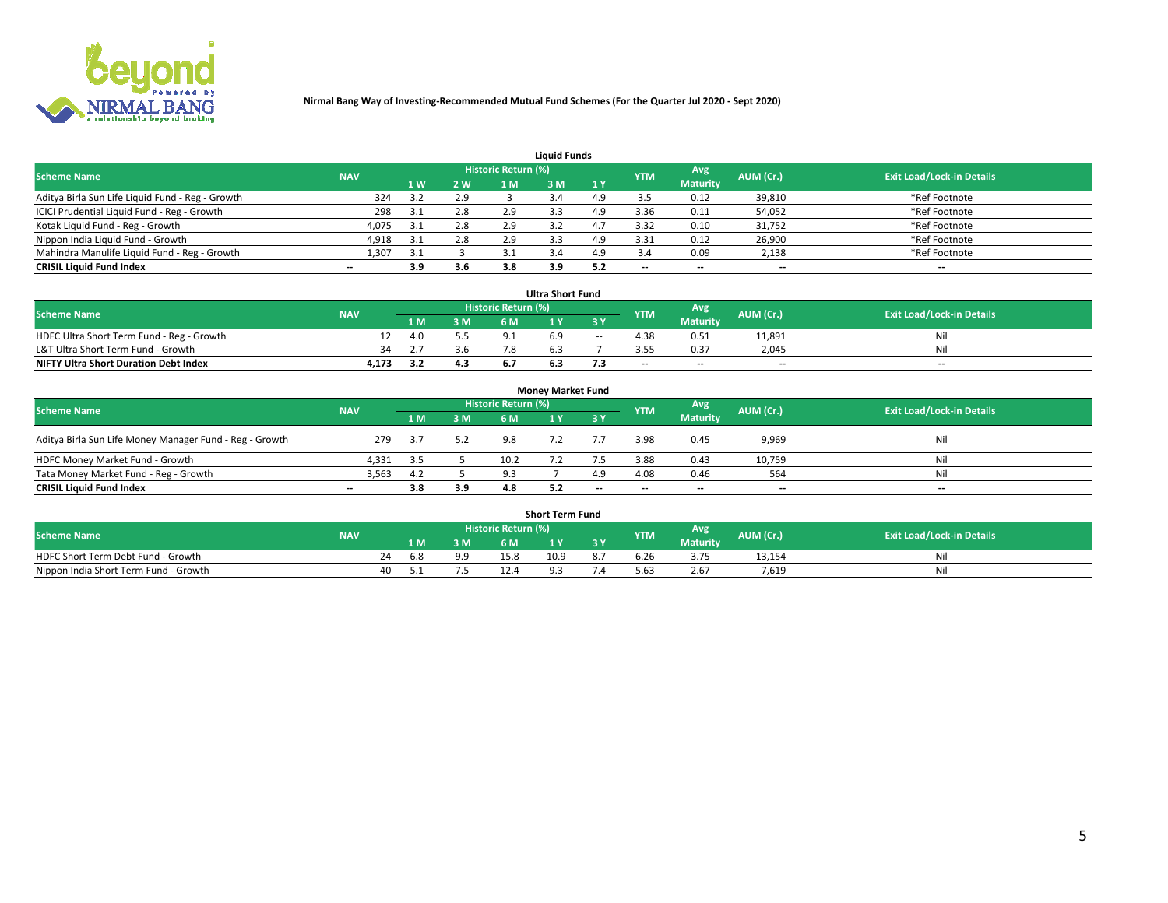

| <b>Liquid Funds</b>                              |            |     |     |                     |     |     |            |                 |                          |                                  |  |  |  |  |
|--------------------------------------------------|------------|-----|-----|---------------------|-----|-----|------------|-----------------|--------------------------|----------------------------------|--|--|--|--|
| <b>Scheme Name</b>                               | <b>NAV</b> |     |     | Historic Return (%) |     |     | <b>YTM</b> | Avg             | AUM (Cr.)                | <b>Exit Load/Lock-in Details</b> |  |  |  |  |
|                                                  |            | 1 W | 2 W | 1 M                 | : M | 1Y  |            | <b>Maturity</b> |                          |                                  |  |  |  |  |
| Aditya Birla Sun Life Liquid Fund - Reg - Growth | 324        |     | 2.9 |                     |     | 4.9 |            | 0.12            | 39,810                   | *Ref Footnote                    |  |  |  |  |
| ICICI Prudential Liquid Fund - Reg - Growth      | 298        | 3.1 | 2.8 | 2.9                 | 3.3 | 4.9 | 3.36       | 0.11            | 54,052                   | *Ref Footnote                    |  |  |  |  |
| Kotak Liquid Fund - Reg - Growth                 | 4,075      |     | 2.8 | 2.9                 |     |     | 3.32       | 0.10            | 31,752                   | *Ref Footnote                    |  |  |  |  |
| Nippon India Liquid Fund - Growth                | 4,918      | 3.1 | 2.8 | 2.9                 |     | 4.9 | 3.31       | 0.12            | 26,900                   | *Ref Footnote                    |  |  |  |  |
| Mahindra Manulife Liquid Fund - Reg - Growth     | 1,307      | 3.1 |     |                     |     | 4.9 |            | 0.09            | 2,138                    | *Ref Footnote                    |  |  |  |  |
| <b>CRISIL Liquid Fund Index</b>                  | $- -$      | 3.9 | 3.6 | 3.8                 | 3.9 | 5.2 | $- -$      | $- -$           | $\overline{\phantom{a}}$ | $\hspace{0.05cm} \cdots$         |  |  |  |  |

| <b>Ultra Short Fund</b>                      |            |                                                              |     |     |  |        |      |                 |                                  |     |  |  |  |  |
|----------------------------------------------|------------|--------------------------------------------------------------|-----|-----|--|--------|------|-----------------|----------------------------------|-----|--|--|--|--|
| <b>Scheme Name</b>                           | <b>NAV</b> | <b>Historic Return (%)</b><br>Avg<br>AUM (Cr.)<br><b>YTM</b> |     |     |  |        |      |                 | <b>Exit Load/Lock-in Details</b> |     |  |  |  |  |
|                                              |            |                                                              | 3 M | 6 M |  | 3 Y    |      | <b>Maturity</b> |                                  |     |  |  |  |  |
| HDFC Ultra Short Term Fund - Reg - Growth    |            | 4.0                                                          |     |     |  | $\sim$ | 4.38 | 0.51            | 11,891                           | Nil |  |  |  |  |
| L&T Ultra Short Term Fund - Growth           | 34         |                                                              | 3.6 |     |  |        |      | 0.37            | 2.045                            | Ni  |  |  |  |  |
| <b>NIFTY Ultra Short Duration Debt Index</b> | 4,173      |                                                              | 4.3 |     |  |        | $-$  | $- -$           | $- -$                            | $-$ |  |  |  |  |

| <b>Monev Market Fund</b>                                |                          |      |     |                     |  |           |            |                 |           |                                  |  |  |  |  |
|---------------------------------------------------------|--------------------------|------|-----|---------------------|--|-----------|------------|-----------------|-----------|----------------------------------|--|--|--|--|
| <b>Scheme Name</b>                                      | <b>NAV</b>               |      |     | Historic Return (%) |  |           | <b>YTM</b> | Avg.            | AUM (Cr.) | <b>Exit Load/Lock-in Details</b> |  |  |  |  |
|                                                         |                          | 1 M  | 3 M | 6 M                 |  | <b>3Y</b> |            | <b>Maturity</b> |           |                                  |  |  |  |  |
| Aditya Birla Sun Life Money Manager Fund - Reg - Growth | 279                      | -3.7 | 5.2 | 9.8                 |  |           | 3.98       | 0.45            | 9,969     | Nil                              |  |  |  |  |
| HDFC Money Market Fund - Growth                         | 4,331                    | 3.5  |     | 10.2                |  |           | 3.88       | 0.43            | 10,759    | Nil                              |  |  |  |  |
| Tata Money Market Fund - Reg - Growth                   | 3,563                    | 4.2  |     | 9.3                 |  | 4.9       | 4.08       | 0.46            | 564       | Nil                              |  |  |  |  |
| <b>CRISIL Liquid Fund Index</b>                         | $\overline{\phantom{a}}$ | 3.8  | 3.9 | 4.8                 |  | $-$       | $-$        | $- -$           | $- -$     | $\overline{\phantom{a}}$         |  |  |  |  |

|                                       |            |       |     |                     | <b>Short Term Fund</b> |    |      |                 |           |                                  |
|---------------------------------------|------------|-------|-----|---------------------|------------------------|----|------|-----------------|-----------|----------------------------------|
| <b>Scheme Name</b>                    | <b>NAV</b> |       |     | Historic Return (%) |                        |    | YTM  | Avg             | AUM (Cr.) | <b>Exit Load/Lock-in Details</b> |
|                                       |            | 1 M . | 3 M | 6 M                 | l M                    | 2V |      | <b>Maturity</b> |           |                                  |
| HDFC Short Term Debt Fund - Growth    |            | 6.8   | 9.9 | 15.8                | 10.9                   |    | b.Zb |                 | 13,154    | M                                |
| Nippon India Short Term Fund - Growth | 40         |       |     |                     |                        |    | 63.د | 2.67            | 7.619     | N                                |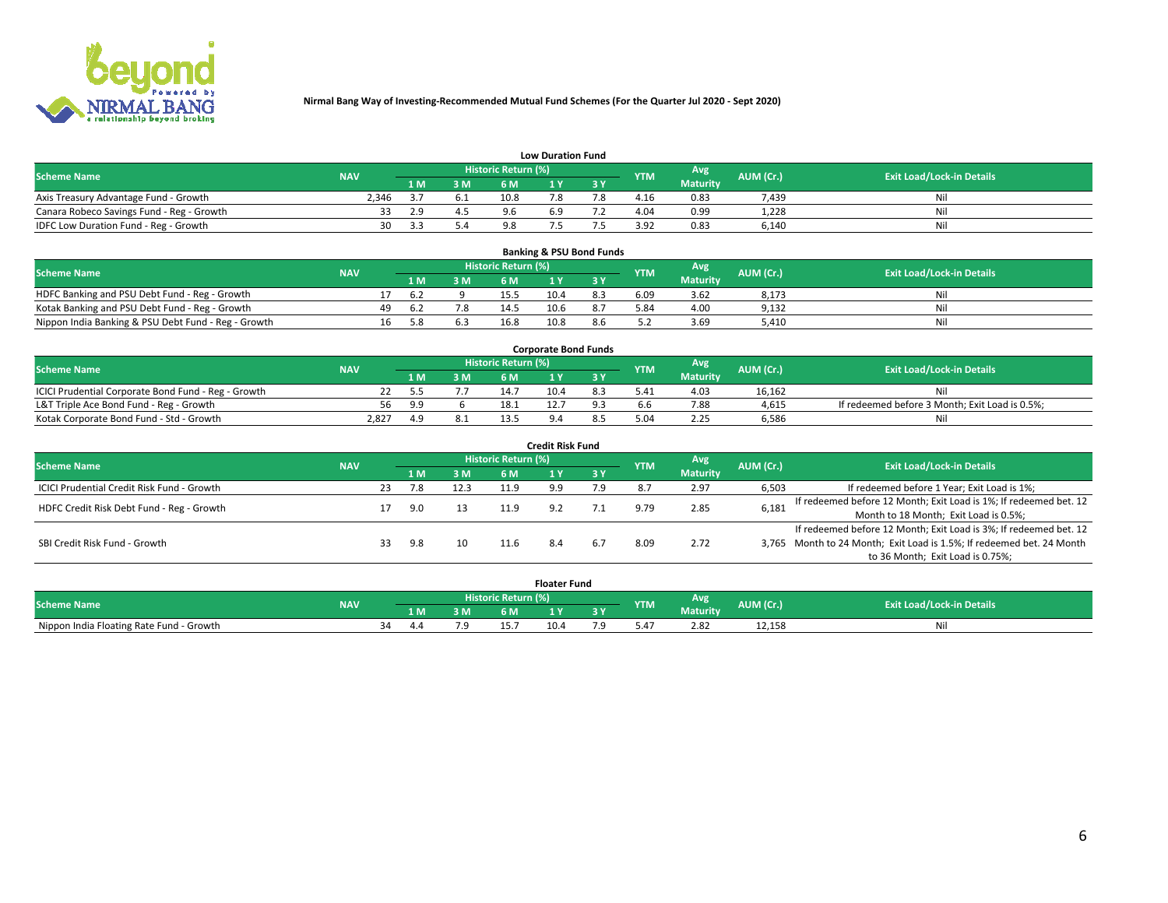

| <b>Low Duration Fund</b>                  |            |      |     |                     |     |     |            |                 |           |                                  |  |  |  |  |
|-------------------------------------------|------------|------|-----|---------------------|-----|-----|------------|-----------------|-----------|----------------------------------|--|--|--|--|
| <b>Scheme Name</b>                        | <b>NAV</b> |      |     | Historic Return (%) |     |     | <b>YTM</b> | <b>Avg</b>      | AUM (Cr.) | <b>Exit Load/Lock-in Details</b> |  |  |  |  |
|                                           |            | 1 M. | 3 M | 6 M                 |     | 3 V |            | <b>Maturity</b> |           |                                  |  |  |  |  |
| Axis Treasury Advantage Fund - Growth     | 2.346      |      | 6.1 | 10.8                |     |     | 4.16       | 0.83            | 7,439     | Nil                              |  |  |  |  |
| Canara Robeco Savings Fund - Reg - Growth |            | 2.9  |     | 9.6                 | 6.9 |     | 4.04       | 0.99            | 1,228     | Nil                              |  |  |  |  |
| IDFC Low Duration Fund - Reg - Growth     | 30         |      |     | 9.8                 |     |     | 3.92       | 0.83            | 6,140     | Nil                              |  |  |  |  |

| <b>Banking &amp; PSU Bond Funds</b>                 |            |    |      |     |                            |      |     |                   |                 |           |                                  |  |  |  |
|-----------------------------------------------------|------------|----|------|-----|----------------------------|------|-----|-------------------|-----------------|-----------|----------------------------------|--|--|--|
| <b>Scheme Name</b>                                  | <b>NAV</b> |    |      |     | <b>Historic Return (%)</b> |      |     | Avg<br><b>YTM</b> |                 | AUM (Cr.) | <b>Exit Load/Lock-in Details</b> |  |  |  |
|                                                     |            |    |      | 3 M | 6 M                        |      |     |                   | <b>Maturity</b> |           |                                  |  |  |  |
| HDFC Banking and PSU Debt Fund - Reg - Growth       |            |    | b.2  |     | 15.5                       | 10.4 |     | 6.09              | 3.62            | 8,173     | Ni                               |  |  |  |
| Kotak Banking and PSU Debt Fund - Reg - Growth      |            | 49 | -6.2 | 7.8 | 14.5                       | 10.6 | 8.7 | 5.84              | 4.00            | 9,132     | Nil                              |  |  |  |
| Nippon India Banking & PSU Debt Fund - Reg - Growth |            | 16 | 5.8  |     | 16.8                       | 10.8 |     |                   | 3.69            | 5.410     | Ni                               |  |  |  |

| <b>Corporate Bond Funds</b>                         |            |     |     |                            |      |  |            |          |           |                                                |  |  |  |  |
|-----------------------------------------------------|------------|-----|-----|----------------------------|------|--|------------|----------|-----------|------------------------------------------------|--|--|--|--|
| <b>Scheme Name</b>                                  | <b>NAV</b> |     |     | <b>Historic Return (%)</b> |      |  | <b>YTM</b> | Avg      | AUM (Cr.) | <b>Exit Load/Lock-in Details</b>               |  |  |  |  |
|                                                     |            |     | 3 M | 6 M                        |      |  |            | Maturity |           |                                                |  |  |  |  |
| ICICI Prudential Corporate Bond Fund - Reg - Growth |            |     |     |                            | 10.4 |  |            | 4.03     | 16.162    | Nil                                            |  |  |  |  |
| L&T Triple Ace Bond Fund - Reg - Growth             | 56         | - റ |     | 18.1                       |      |  |            | 7.88     | 4,615     | If redeemed before 3 Month; Exit Load is 0.5%; |  |  |  |  |
| Kotak Corporate Bond Fund - Std - Growth            | 2,827      |     |     |                            |      |  |            | 2.25     | 6,586     | Nil                                            |  |  |  |  |

| <b>Credit Risk Fund</b>                    |            |    |            |      |                            |     |        |            |                 |           |                                                                       |  |  |  |
|--------------------------------------------|------------|----|------------|------|----------------------------|-----|--------|------------|-----------------|-----------|-----------------------------------------------------------------------|--|--|--|
| <b>Scheme Name</b>                         | <b>NAV</b> |    |            |      | <b>Historic Return (%)</b> |     |        | <b>YTM</b> | Avg             | AUM (Cr.) | <b>Exit Load/Lock-in Details</b>                                      |  |  |  |
|                                            |            |    | <b>1 M</b> | 3 M  | 6 M                        |     | 7 3 Y. |            | <b>Maturity</b> |           |                                                                       |  |  |  |
| ICICI Prudential Credit Risk Fund - Growth |            | 23 | 7.8        | 12.3 | 11.9                       | a a | 7.9    |            | 2.97            | 6,503     | If redeemed before 1 Year; Exit Load is 1%;                           |  |  |  |
| HDFC Credit Risk Debt Fund - Reg - Growth  |            |    | 9.0        |      | 11.9                       |     |        | 9.79       | 2.85            | 6,181     | If redeemed before 12 Month; Exit Load is 1%; If redeemed bet. 12     |  |  |  |
|                                            |            |    |            |      |                            |     |        |            |                 |           | Month to 18 Month; Exit Load is 0.5%;                                 |  |  |  |
|                                            |            |    |            |      |                            |     |        |            |                 |           | If redeemed before 12 Month; Exit Load is 3%; If redeemed bet. 12     |  |  |  |
| SBI Credit Risk Fund - Growth              |            |    | 9.8        | 10   | 11.6                       |     |        | 8.09       | 2.72            |           | 3,765 Month to 24 Month; Exit Load is 1.5%; If redeemed bet. 24 Month |  |  |  |
|                                            |            |    |            |      |                            |     |        |            |                 |           | to 36 Month; Exit Load is 0.75%;                                      |  |  |  |

| <b>Floater Fund</b>                      |            |           |     |     |                     |      |   |               |                        |           |                                  |
|------------------------------------------|------------|-----------|-----|-----|---------------------|------|---|---------------|------------------------|-----------|----------------------------------|
| <b>Scheme Name</b>                       | <b>NAV</b> |           |     |     | Historic Return (%) |      |   | <b>YTM</b>    | Avg<br><b>Maturity</b> | AUM (Cr.) | <b>Exit Load/Lock-in Details</b> |
|                                          |            |           | 1 M | ЗM  | 6 M                 | - 17 | . |               |                        |           |                                  |
| Nippon India Floating Rate Fund - Growth |            | 44<br>-34 |     | 7 Q |                     | 10.4 |   | $0.4^{\circ}$ | 2.82                   | 12,158    | NL                               |